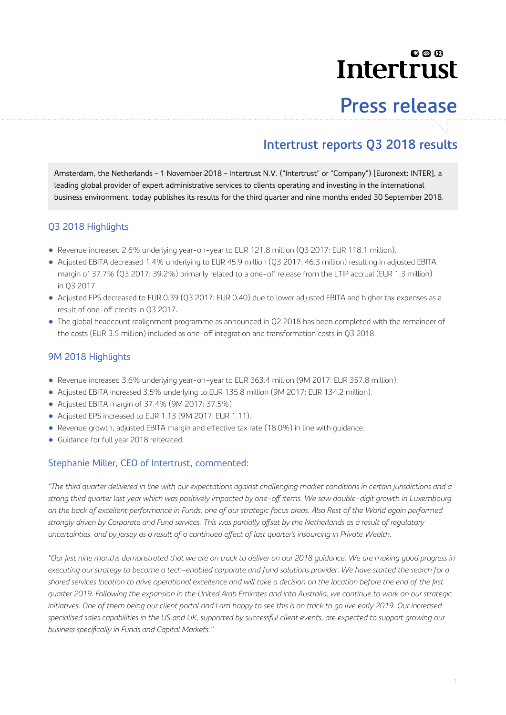# லை **Intertrust**

# **Press release**

# **Intertrust reports Q3 2018 results**

Amsterdam, the Netherlands – 1 November 2018 – Intertrust N.V. ("Intertrust" or "Company") [Euronext: INTER], a leading global provider of expert administrative services to clients operating and investing in the international business environment, today publishes its results for the third quarter and nine months ended 30 September 2018.

### Q3 2018 Highlights

- Revenue increased 2.6% underlying year-on-year to EUR 121.8 million (Q3 2017: EUR 118.1 million).
- Adjusted EBITA decreased 1.4% underlying to EUR 45.9 million (Q3 2017: 46.3 million) resulting in adjusted EBITA margin of 37.7% (Q3 2017: 39.2%) primarily related to a one-off release from the LTIP accrual (EUR 1.3 million) in Q3 2017.
- Adjusted EPS decreased to EUR 0.39 (Q3 2017: EUR 0.40) due to lower adjusted EBITA and higher tax expenses as a result of one-off credits in Q3 2017.
- The global headcount realignment programme as announced in Q2 2018 has been completed with the remainder of the costs (EUR 3.5 million) included as one-off integration and transformation costs in Q3 2018.

#### 9M 2018 Highlights

- Revenue increased 3.6% underlying year-on-year to EUR 363.4 million (9M 2017: EUR 357.8 million).
- Adjusted EBITA increased 3.5% underlying to EUR 135.8 million (9M 2017: EUR 134.2 million).
- Adjusted EBITA margin of 37.4% (9M 2017: 37.5%).
- Adjusted EPS increased to EUR 1.13 (9M 2017: EUR 1.11).
- Revenue growth, adjusted EBITA margin and effective tax rate (18.0%) in line with guidance.
- Guidance for full year 2018 reiterated.

#### Stephanie Miller, CEO of Intertrust, commented:

*"The third quarter delivered in line with our expectations against challenging market conditions in certain jurisdictions and a* strong third quarter last year which was positively impacted by one-off items. We saw double-digit growth in Luxembourg *on the back of excellent performance in Funds, one of our strategic focus areas. Also Rest of the World again performed* strongly driven by Corporate and Fund services. This was partially offset by the Netherlands as a result of regulatory uncertainties, and by Jersey as a result of a continued effect of last quarter's insourcing in Private Wealth.

*"Our first nine months demonstrated that we are on track to deliver on our 2018 guidance. We are making good progress in executing our strategy to become a tech-enabled corporate and fund solutions provider*. *We have started the search for a shared services location to drive operational excellence and will take a decision on the location before the end of the first quarter 2019. Following the expansion in the United Arab Emirates and into Australia, we continue to work on our strategic initiatives. One of them being our client portal and I am happy to see this is on track to go live early 2019. Our increased specialised sales capabilities in the US and UK, supported by successful client events, are expected to support growing our* business specifically in Funds and Capital Markets."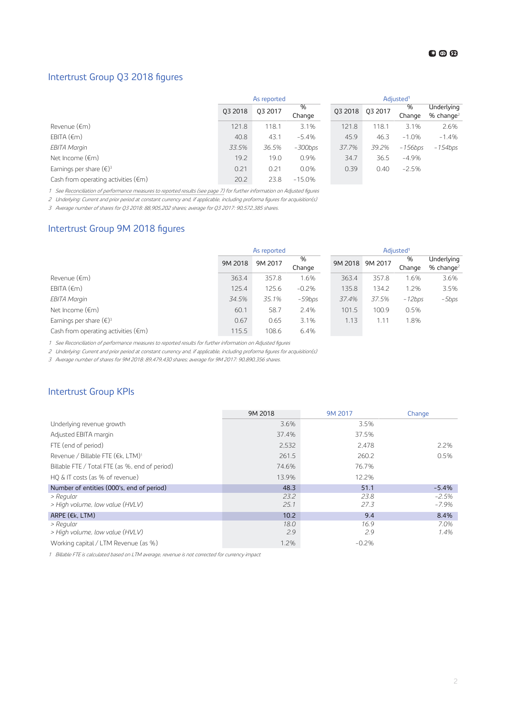#### € ◎ ⊕

#### Intertrust Group Q3 2018 figures

|                                               | As reported |         |             | Adjusted <sup>1</sup> |         |             |                                       |
|-----------------------------------------------|-------------|---------|-------------|-----------------------|---------|-------------|---------------------------------------|
|                                               | 03 2018     | 03 2017 | %<br>Change | 03 2018               | 03 2017 | %<br>Change | Underlying<br>$%$ change <sup>2</sup> |
| Revenue (€m)                                  | 121.8       | 118.1   | 3.1%        | 121.8                 | 118.1   | 3.1%        | 2.6%                                  |
| EBITA $(\epsilon m)$                          | 40.8        | 43.1    | $-5.4%$     | 45.9                  | 46.3    | $-1.0%$     | $-1.4%$                               |
| EBITA Margin                                  | 33.5%       | 36.5%   | $-300$ bps  | 37.7%                 | 39.2%   | $-156$ bps  | $-154$ bps                            |
| Net Income $(\epsilon m)$                     | 19.2        | 19.0    | 0.9%        | 34.7                  | 36.5    | $-4.9%$     |                                       |
| Earnings per share $(\epsilon)^3$             | 0.21        | 0.21    | 0.0%        | 0.39                  | 0.40    | $-2.5%$     |                                       |
| Cash from operating activities $(\epsilon m)$ | 20.2        | 23.8    | $-15.0%$    |                       |         |             |                                       |

1 See [Reconciliation of performance measures to reported results \(see page 7\)](#page-6-0) for further information on Adjusted figures

2 Underlying: Current and prior period at constant currency and, if applicable, including proforma figures for acquisition(s)

3 Average number of shares for Q3 2018: 88,905,202 shares; average for Q3 2017: 90,572,385 shares.

#### Intertrust Group 9M 2018 figures

|                                               | As reported |         |             | Adjusted <sup>1</sup> |         |             |                            |
|-----------------------------------------------|-------------|---------|-------------|-----------------------|---------|-------------|----------------------------|
|                                               | 9M 2018     | 9M 2017 | %<br>Change | 9M 2018               | 9M 2017 | %<br>Change | Underlying<br>% change $2$ |
| Revenue (€m)                                  | 363.4       | 357.8   | 1.6%        | 363.4                 | 357.8   | 1.6%        | 3.6%                       |
| EBITA $(\epsilon m)$                          | 125.4       | 125.6   | $-0.2%$     | 135.8                 | 134.2   | 1.2%        | 3.5%                       |
| EBITA Margin                                  | 34.5%       | 35.1%   | $-59$ bps   | 37.4%                 | 37.5%   | $-12bps$    | -5bps                      |
| Net Income $(\epsilon m)$                     | 60.1        | 58.7    | 2.4%        | 101.5                 | 100.9   | 0.5%        |                            |
| Earnings per share $(\epsilon)^3$             | 0.67        | 0.65    | 3.1%        | 1.13                  | 1.11    | 1.8%        |                            |
| Cash from operating activities $(\epsilon m)$ | 115.5       | 108.6   | 6.4%        |                       |         |             |                            |

1 See Reconciliation of performance measures to reported results for further information on Adjusted figures

2 Underlying: Current and prior period at constant currency and, if applicable, including proforma figures for acquisition(s)

3 Average number of shares for 9M 2018: 89,479,430 shares; average for 9M 2017: 90,890,356 shares.

#### Intertrust Group KPIs

|                                                | 9M 2018 | 9M 2017 | Change   |
|------------------------------------------------|---------|---------|----------|
| Underlying revenue growth                      | 3.6%    | 3.5%    |          |
| Adjusted EBITA margin                          | 37.4%   | 37.5%   |          |
| FTE (end of period)                            | 2,532   | 2.478   | 2.2%     |
| Revenue / Billable FTE (€k. LTM) <sup>1</sup>  | 261.5   | 260.2   | 0.5%     |
| Billable FTE / Total FTE (as %, end of period) | 74.6%   | 76.7%   |          |
| $HO & I$ costs (as % of revenue)               | 13.9%   | 12.2%   |          |
| Number of entities (000's, end of period)      | 48.3    | 51.1    | $-5.4%$  |
| > Regular                                      | 23.2    | 23.8    | $-2.5%$  |
| > High volume, low value (HVLV)                | 25.1    | 27.3    | $-7.9\%$ |
| ARPE ( $\epsilon$ k, LTM)                      | 10.2    | 9.4     | 8.4%     |
| > Regular                                      | 18.0    | 16.9    | 7.0%     |
| > High volume, low value (HVLV)                | 2.9     | 2.9     | 1.4%     |
| Working capital / LTM Revenue (as %)           | 1.2%    | $-0.2%$ |          |

1 Billable FTE is calculated based on LTM average, revenue is not corrected for currency impact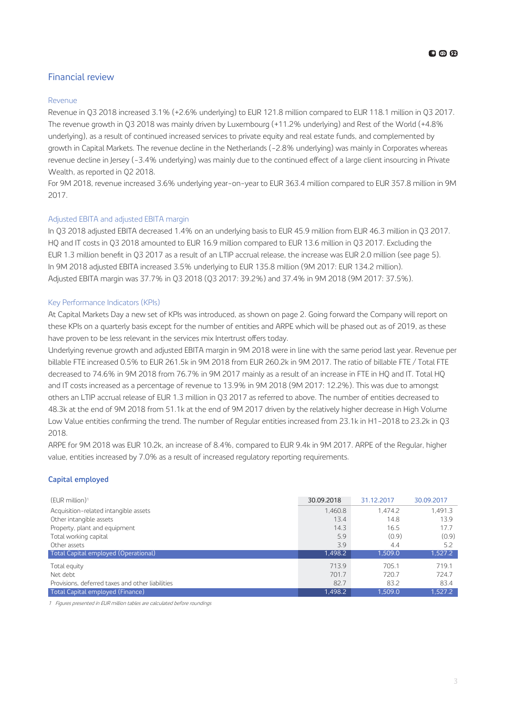#### Financial review

#### Revenue

Revenue in Q3 2018 increased 3.1% (+2.6% underlying) to EUR 121.8 million compared to EUR 118.1 million in Q3 2017. The revenue growth in Q3 2018 was mainly driven by Luxembourg (+11.2% underlying) and Rest of the World (+4.8% underlying), as a result of continued increased services to private equity and real estate funds, and complemented by growth in Capital Markets. The revenue decline in the Netherlands (-2.8% underlying) was mainly in Corporates whereas revenue decline in Jersey (-3.4% underlying) was mainly due to the continued effect of a large client insourcing in Private Wealth, as reported in Q2 2018.

For 9M 2018, revenue increased 3.6% underlying year-on-year to EUR 363.4 million compared to EUR 357.8 million in 9M 2017.

#### Adjusted EBITA and adjusted EBITA margin

In Q3 2018 adjusted EBITA decreased 1.4% on an underlying basis to EUR 45.9 million from EUR 46.3 million in Q3 2017. HQ and IT costs in Q3 2018 amounted to EUR 16.9 million compared to EUR 13.6 million in Q3 2017. Excluding the EUR 1.3 million benefit in Q3 2017 as a result of an LTIP accrual release, the increase was EUR 2.0 million (see page 5). In 9M 2018 adjusted EBITA increased 3.5% underlying to EUR 135.8 million (9M 2017: EUR 134.2 million). Adjusted EBITA margin was 37.7% in Q3 2018 (Q3 2017: 39.2%) and 37.4% in 9M 2018 (9M 2017: 37.5%).

#### Key Performance Indicators (KPIs)

At Capital Markets Day a new set of KPIs was introduced, as shown on page 2. Going forward the Company will report on these KPIs on a quarterly basis except for the number of entities and ARPE which will be phased out as of 2019, as these have proven to be less relevant in the services mix Intertrust offers today.

Underlying revenue growth and adjusted EBITA margin in 9M 2018 were in line with the same period last year. Revenue per billable FTE increased 0.5% to EUR 261.5k in 9M 2018 from EUR 260.2k in 9M 2017. The ratio of billable FTE / Total FTE decreased to 74.6% in 9M 2018 from 76.7% in 9M 2017 mainly as a result of an increase in FTE in HQ and IT. Total HQ and IT costs increased as a percentage of revenue to 13.9% in 9M 2018 (9M 2017: 12.2%). This was due to amongst others an LTIP accrual release of EUR 1.3 million in Q3 2017 as referred to above. The number of entities decreased to 48.3k at the end of 9M 2018 from 51.1k at the end of 9M 2017 driven by the relatively higher decrease in High Volume Low Value entities confirming the trend. The number of Regular entities increased from 23.1k in H1-2018 to 23.2k in Q3 2018.

ARPE for 9M 2018 was EUR 10.2k, an increase of 8.4%, compared to EUR 9.4k in 9M 2017. ARPE of the Regular, higher value, entities increased by 7.0% as a result of increased regulatory reporting requirements.

#### **Capital employed**

| $(EUR$ million) <sup>1</sup>                     | 30.09.2018 | 31.12.2017 | 30.09.2017 |
|--------------------------------------------------|------------|------------|------------|
| Acquisition-related intangible assets            | 1.460.8    | 1.474.2    | 1.491.3    |
| Other intangible assets                          | 13.4       | 14.8       | 13.9       |
| Property, plant and equipment                    | 14.3       | 16.5       | 17.7       |
| Total working capital                            | 5.9        | (0.9)      | (0.9)      |
| Other assets                                     | 3.9        | 4.4        | 5.2        |
| Total Capital employed (Operational)             | 1,498.2    | 1.509.0    | 1,527.2    |
| Total equity                                     | 713.9      | 705.1      | 719.1      |
| Net debt                                         | 701.7      | 720.7      | 724.7      |
| Provisions, deferred taxes and other liabilities | 82.7       | 83.2       | 83.4       |
| Total Capital employed (Finance)                 | 1.498.2    | 1.509.0    | 1.527.2    |

1 Figures presented in EUR million tables are calculated before roundings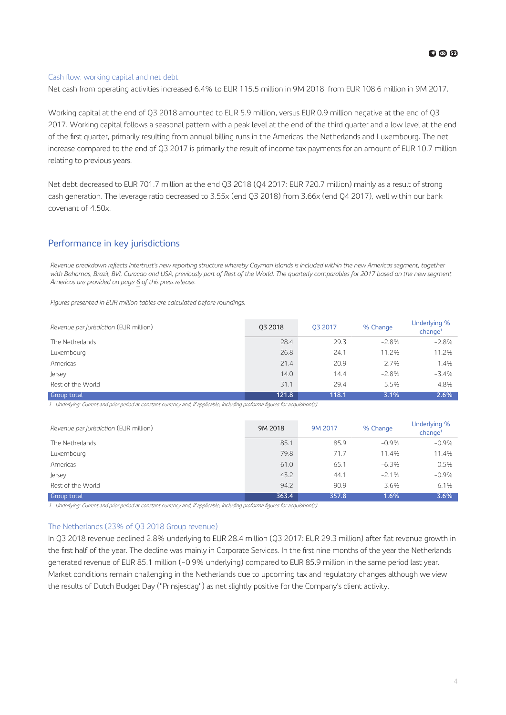#### Cash flow, working capital and net debt

Net cash from operating activities increased 6.4% to EUR 115.5 million in 9M 2018, from EUR 108.6 million in 9M 2017.

Working capital at the end of Q3 2018 amounted to EUR 5.9 million, versus EUR 0.9 million negative at the end of Q3 2017. Working capital follows a seasonal pattern with a peak level at the end of the third quarter and a low level at the end of the first quarter, primarily resulting from annual billing runs in the Americas, the Netherlands and Luxembourg. The net increase compared to the end of Q3 2017 is primarily the result of income tax payments for an amount of EUR 10.7 million relating to previous years.

Net debt decreased to EUR 701.7 million at the end Q3 2018 (Q4 2017: EUR 720.7 million) mainly as a result of strong cash generation. The leverage ratio decreased to 3.55x (end Q3 2018) from 3.66x (end Q4 2017), well within our bank covenant of 4.50x.

#### Performance in key jurisdictions

*Revenue breakdown rHflHFts Intertrust's new reporting structure whereby Cayman Islands is included within the new Americas segment, together with Bahamas, Brazil, BVI, Curacao and USA, previously part of Rest of the World. The quarterly comparables for 2017 based on the new segment Americas are provided on page [6](#page-5-0) of this press release.*

*Figures presented in EUR million tables are calculated before roundings.*

| Revenue per jurisdiction (EUR million) | 03 2018 | 03 2017 | % Change | Underlying %<br>$ch$ ange <sup>1</sup> |
|----------------------------------------|---------|---------|----------|----------------------------------------|
| The Netherlands                        | 28.4    | 29.3    | $-2.8\%$ | $-2.8%$                                |
| Luxembourg                             | 26.8    | 24.1    | 11.2%    | 11.2%                                  |
| Americas                               | 21.4    | 20.9    | 2.7%     | 1.4%                                   |
| Jersey                                 | 14.0    | 14.4    | $-2.8%$  | $-3.4%$                                |
| Rest of the World                      | 31.1    | 29.4    | 5.5%     | 4.8%                                   |
| <b>Group total</b>                     | 121.8   | 118.1   | 3.1%     | 2.6%                                   |

1 Underlying: Current and prior period at constant currency and, if applicable, including proforma figures for acquisition(s)

| Revenue per jurisdiction (EUR million) | 9M 2018 | 9M 2017 | % Change | Underlying %<br>change <sup>1</sup> |
|----------------------------------------|---------|---------|----------|-------------------------------------|
| The Netherlands                        | 85.1    | 85.9    | $-0.9%$  | $-0.9%$                             |
| Luxembourg                             | 79.8    | 71.7    | 11.4%    | 11.4%                               |
| Americas                               | 61.0    | 65.1    | $-6.3%$  | 0.5%                                |
| Jersey                                 | 43.2    | 44.1    | $-2.1%$  | $-0.9%$                             |
| Rest of the World                      | 94.2    | 90.9    | 3.6%     | 6.1%                                |
| <b>Group total</b>                     | 363.4   | 357.8   | 1.6%     | 3.6%                                |

-<br>1 Underlying: Current and prior period at constant currency and, if applicable, including proforma figures for acquisition(s)

#### The Netherlands (23% of Q3 2018 Group revenue)

In Q3 2018 revenue declined 2.8% underlying to EUR 28.4 million (Q3 2017: EUR 29.3 million) after flat revenue growth in the first half of the year. The decline was mainly in Corporate Services. In the first nine months of the year the Netherlands generated revenue of EUR 85.1 million (-0.9% underlying) compared to EUR 85.9 million in the same period last year. Market conditions remain challenging in the Netherlands due to upcoming tax and regulatory changes although we view the results of Dutch Budget Day ("Prinsjesdag") as net slightly positive for the Company's client activity.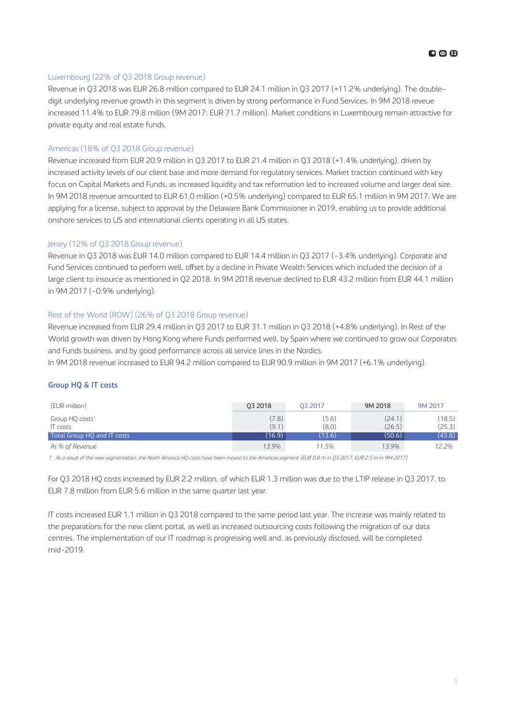# **63 @ 62**

#### Luxembourg (22% of Q3 2018 Group revenue)

Revenue in Q3 2018 was EUR 26.8 million compared to EUR 24.1 million in Q3 2017 (+11.2% underlying). The doubledigit underlying revenue growth in this segment is driven by strong performance in Fund Services. In 9M 2018 reveue increased 11.4% to EUR 79.8 million (9M 2017: EUR 71.7 million). Market conditions in Luxembourg remain attractive for private equity and real estate funds.

#### Americas (18% of Q3 2018 Group revenue)

Revenue increased from EUR 20.9 million in Q3 2017 to EUR 21.4 million in Q3 2018 (+1.4% underlying), driven by increased activity levels of our client base and more demand for regulatory services. Market traction continued with key focus on Capital Markets and Funds, as increased liquidity and tax reformation led to increased volume and larger deal size. In 9M 2018 revenue amounted to EUR 61.0 million (+0.5% underlying) compared to EUR 65.1 million in 9M 2017. We are applying for a license, subject to approval by the Delaware Bank Commissioner in 2019, enabling us to provide additional onshore services to US and international clients operating in all US states.

#### Jersey (12% of Q3 2018 Group revenue)

Revenue in Q3 2018 was EUR 14.0 million compared to EUR 14.4 million in Q3 2017 (-3.4% underlying). Corporate and Fund Services continued to perform well, offset by a decline in Private Wealth Services which included the decision of a large client to insource as mentioned in Q2 2018. In 9M 2018 revenue declined to EUR 43.2 million from EUR 44.1 million in 9M 2017 (-0.9% underlying).

#### Rest of the World (ROW) (26% of Q3 2018 Group revenue)

Revenue increased from EUR 29.4 million in Q3 2017 to EUR 31.1 million in Q3 2018 (+4.8% underlying). In Rest of the World growth was driven by Hong Kong where Funds performed well, by Spain where we continued to grow our Corporates and Funds business. and by good performance across all service lines in the Nordics.

In 9M 2018 revenue increased to EUR 94.2 million compared to EUR 90.9 million in 9M 2017 (+6.1% underlying).

#### **Group HQ & IT costs**

| (EUR million)               | 03 2018 | 03 2017 | 9M 2018 | 9M 2017 |
|-----------------------------|---------|---------|---------|---------|
| Group HQ costs <sup>1</sup> | (7.8)   | (5.6)   | (24.1)  | (18.5)  |
| IT costs                    | (9.1)   | (8.0)   | (26.5)  | (25.3)  |
| Total Group HQ and IT costs | (16.9)  | (13.6)  | (50.6)  | (43.8)  |
| As % of Revenue             | 13.9%   | 11.5%   | 13.9%   | 12.2%   |

<sup>1</sup> As a result of the new segmentation, the North America HQ costs have been moved to the Americas segment (EUR 0.8 m in Q3 2017, EUR 2.5 m in 9M 2017)

For Q3 2018 HQ costs increased by EUR 2.2 million, of which EUR 1.3 million was due to the LTIP release in Q3 2017, to EUR 7.8 million from EUR 5.6 million in the same quarter last year.

IT costs increased EUR 1.1 million in Q3 2018 compared to the same period last year. The increase was mainly related to the preparations for the new client portal, as well as increased outsourcing costs following the migration of our data centres. The implementation of our IT roadmap is progressing well and, as previously disclosed, will be completed mid-2019.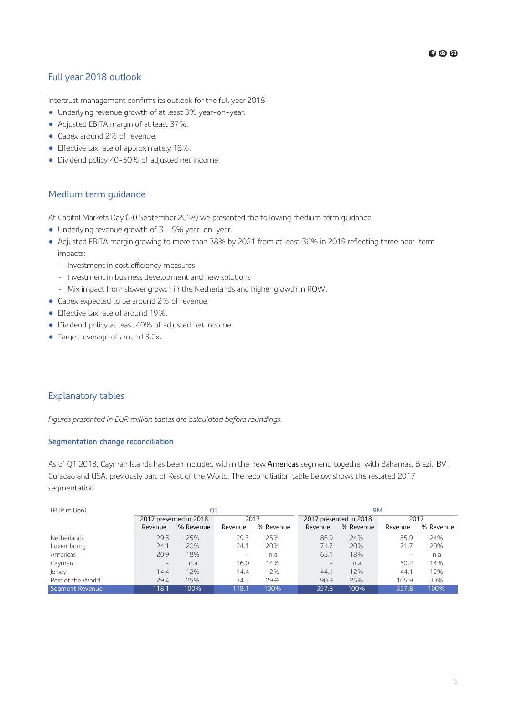#### <span id="page-5-0"></span>Full year 2018 outlook

Intertrust management confirms its outlook for the full year 2018:

- Underlying revenue growth of at least 3% year-on-year.
- Adjusted EBITA margin of at least 37%.
- Capex around 2% of revenue.
- $\bullet$  Effective tax rate of approximately 18%.
- Dividend policy 40-50% of adjusted net income.

#### Medium term guidance

At Capital Markets Day (20 September 2018) we presented the following medium term guidance:

- Underlying revenue growth of 3 5% year-on-year.
- Adjusted EBITA margin growing to more than 38% by 2021 from at least 36% in 2019 reflecting three near-term impacts:
	- Investment in cost efficiency measures
	- Investment in business development and new solutions
	- Mix impact from slower growth in the Netherlands and higher growth in ROW.
- Capex expected to be around 2% of revenue.
- $\bullet$  Effective tax rate of around 19%.
- Dividend policy at least 40% of adjusted net income.
- Target leverage of around 3.0x.

#### Explanatory tables

*Figures presented in EUR million tables are calculated before roundings.*

#### **Segmentation change reconciliation**

As of Q1 2018, Cayman Islands has been included within the new Americas segment, together with Bahamas, Brazil, BVI, Curacao and USA, previously part of Rest of the World. The reconciliation table below shows the restated 2017 segmentation:

| (EUR million)     | O3                       |                        |                          | <b>9M</b> |                          |                        |                          |           |
|-------------------|--------------------------|------------------------|--------------------------|-----------|--------------------------|------------------------|--------------------------|-----------|
|                   |                          | 2017 presented in 2018 | 2017                     |           |                          | 2017 presented in 2018 | 2017                     |           |
|                   | Revenue                  | % Revenue              | Revenue                  | % Revenue | Revenue                  | % Revenue              | Revenue                  | % Revenue |
| Netherlands       | 29.3                     | 25%                    | 29.3                     | 25%       | 85.9                     | 24%                    | 85.9                     | 24%       |
| Luxembourg        | 24.1                     | 20%                    | 24.1                     | 20%       | 71.7                     | 20%                    | 71.7                     | 20%       |
| Americas          | 20.9                     | 18%                    | $\overline{\phantom{0}}$ | n.a.      | 65.1                     | 18%                    | $\overline{\phantom{0}}$ | n.a.      |
| Cayman            | $\overline{\phantom{m}}$ | n.a.                   | 16.0                     | 14%       | $\overline{\phantom{m}}$ | n.a.                   | 50.2                     | 14%       |
| Jersey            | 14.4                     | 12%                    | 14.4                     | 12%       | 44.1                     | 12%                    | 44.1                     | 12%       |
| Rest of the World | 29.4                     | 25%                    | 34.3                     | 29%       | 90.9                     | 25%                    | 105.9                    | 30%       |
| Segment Revenue   | 118.1                    | 100%                   | 118.1                    | 100%      | 357.8                    | 100%                   | 357.8                    | 100%      |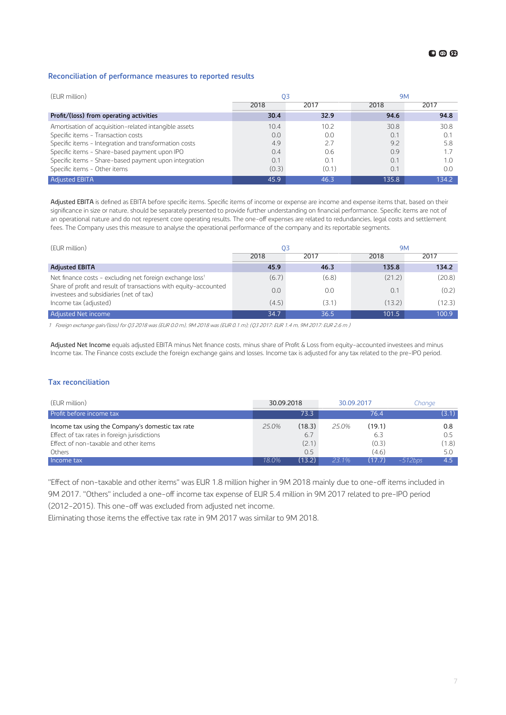#### <span id="page-6-0"></span>**Reconciliation of performance measures to reported results**

| (EUR million)                                         | O3    |       | <b>9M</b> |       |  |
|-------------------------------------------------------|-------|-------|-----------|-------|--|
|                                                       | 2018  | 2017  | 2018      | 2017  |  |
| Profit/(loss) from operating activities               | 30.4  | 32.9  | 94.6      | 94.8  |  |
| Amortisation of acquisition-related intangible assets | 10.4  | 10.2  | 30.8      | 30.8  |  |
| Specific items - Transaction costs                    | 0.0   | 0.0   | 0.1       | 0.1   |  |
| Specific items - Integration and transformation costs | 4.9   | 2.7   | 9.2       | 5.8   |  |
| Specific items - Share-based payment upon IPO         | 0.4   | 0.6   | 0.9       |       |  |
| Specific items - Share-based payment upon integration | 0.1   |       | 0.1       |       |  |
| Specific items - Other items                          | (0.3) | (0.1) | 0.1       | O.C   |  |
| <b>Adjusted EBITA</b>                                 | 45.9  | 46.3  | 135.8     | 134.2 |  |

Adjusted EBITA is defined as EBITA before specific items. Specific items of income or expense are income and expense items that, based on their significance in size or nature, should be separately presented to provide further understanding on financial performance. Specific items are not of an operational nature and do not represent core operating results. The one-off expenses are related to redundancies, legal costs and settlement fees. The Company uses this measure to analyse the operational performance of the company and its reportable segments.

| (EUR million)                                                                                                                                                                                                | O3    |       | <b>9M</b> |        |  |
|--------------------------------------------------------------------------------------------------------------------------------------------------------------------------------------------------------------|-------|-------|-----------|--------|--|
|                                                                                                                                                                                                              | 2018  | 2017  | 2018      | 2017   |  |
| <b>Adjusted EBITA</b>                                                                                                                                                                                        | 45.9  | 46.3  | 135.8     | 134.2  |  |
| Net finance costs - excluding net foreign exchange loss <sup>1</sup><br>Share of profit and result of transactions with equity-accounted<br>investees and subsidiaries (net of tax)<br>Income tax (adjusted) | (6.7) | (6.8) | (21.2)    | (20.8) |  |
|                                                                                                                                                                                                              | 0.0   | 0.0   | 0.1       | (0.2)  |  |
|                                                                                                                                                                                                              | (4.5) | (3.1) | (13.2)    | (12.3) |  |
| Adjusted Net income                                                                                                                                                                                          | 34.7  | 36.5  | 101.5     | 100.9  |  |

<sup>1</sup> Foreign exchange gain/(loss) for Q3 2018 was (EUR 0.0 m), 9M 2018 was (EUR 0.1 m); (Q3 2017: EUR 1.4 m, 9M 2017: EUR 2.6 m )

Adjusted Net Income equals adjusted EBITA minus Net finance costs, minus share of Profit & Loss from equity-accounted investees and minus Income tax. The Finance costs exclude the foreign exchange gains and losses. Income tax is adjusted for any tax related to the pre-IPO period.

#### **Tax reconciliation**

| (EUR million)                                    | 30.09.2018 |        | 30.09.2017 |        | Chanae     |                  |
|--------------------------------------------------|------------|--------|------------|--------|------------|------------------|
| Profit before income tax                         |            | 73.3   |            | 76.4   |            | (3.1)            |
| Income tax using the Company's domestic tax rate | $25.0\%$   | (18.3) | 25.0%      | (19.1) |            | 0.8              |
| Effect of tax rates in foreign jurisdictions     |            | 6.7    |            | 6.3    |            | 0.5              |
| Effect of non-taxable and other items            |            | (2.1)  |            | (0.3)  |            | (1.8)            |
| Others                                           |            | 0.5    |            | (4.6)  |            | 5.0              |
| Income tax                                       | 18.0%      | (13.2) | $23.1\%$   | (17.7) | $-512$ bps | 4.5 <sup>°</sup> |

"Effect of non-taxable and other items" was EUR 1.8 million higher in 9M 2018 mainly due to one-off items included in 9M 2017. "Others" included a one-off income tax expense of EUR 5.4 million in 9M 2017 related to pre-IPO period

(2012-2015). This one-off was excluded from adjusted net income.

Eliminating those items the effective tax rate in 9M 2017 was similar to 9M 2018.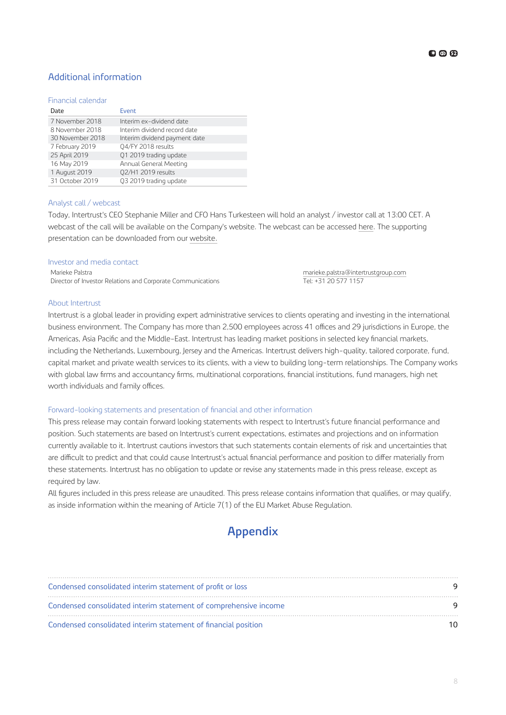#### Additional information

#### Financial calendar

| Date             | Event                         |
|------------------|-------------------------------|
| 7 November 2018  | Interim ex-dividend date      |
| 8 November 2018  | Interim dividend record date  |
| 30 November 2018 | Interim dividend payment date |
| 7 February 2019  | 04/FY 2018 results            |
| 25 April 2019    | Q1 2019 trading update        |
| 16 May 2019      | Annual General Meeting        |
| 1 August 2019    | 02/H1 2019 results            |
| 31 October 2019  | Q3 2019 trading update        |

#### Analyst call / webcast

Today, Intertrust's CEO Stephanie Miller and CFO Hans Turkesteen will hold an analyst / investor call at 13:00 CET. A webcast of the call will be available on the Company's website. The webcast can be accessed [here](https://channel.royalcast.com/intertrustgroupinvestors/#!/intertrustgroupinvestors/20181101_1). The supporting presentation can be downloaded from our [website.](https://www.intertrustgroup.com/investors)

#### Investor and media contact

Marieke Palstra [marieke.palstra@intertrustgroup.com](mailto:marieke.palstra@intertrustgroup.com) Director of Investor Relations and Corporate Communications Tel: +31 20 577 1157

#### About Intertrust

Intertrust is a global leader in providing expert administrative services to clients operating and investing in the international business environment. The Company has more than 2,500 employees across 41 offices and 29 jurisdictions in Europe, the Americas, Asia Pacific and the Middle-East. Intertrust has leading market positions in selected key financial markets, including the Netherlands, Luxembourg, Jersey and the Americas. Intertrust delivers high-quality, tailored corporate, fund, capital market and private wealth services to its clients, with a view to building long-term relationships. The Company works with global law firms and accountancy firms, multinational corporations, financial institutions, fund managers, high net worth individuals and family offices.

#### Forward-looking statements and presentation of financial and other information

This press release may contain forward looking statements with respect to Intertrust's future financial performance and position. Such statements are based on Intertrust's current expectations, estimates and projections and on information currently available to it. Intertrust cautions investors that such statements contain elements of risk and uncertainties that are difficult to predict and that could cause Intertrust's actual financial performance and position to differ materially from these statements. Intertrust has no obligation to update or revise any statements made in this press release, except as required by law.

All figures included in this press release are unaudited. This press release contains information that qualifies, or may qualify, as inside information within the meaning of Article 7(1) of the EU Market Abuse Regulation.

## **Appendix**

| Condensed consolidated interim statement of profit or loss       |  |
|------------------------------------------------------------------|--|
| Condensed consolidated interim statement of comprehensive income |  |
| Condensed consolidated interim statement of financial position   |  |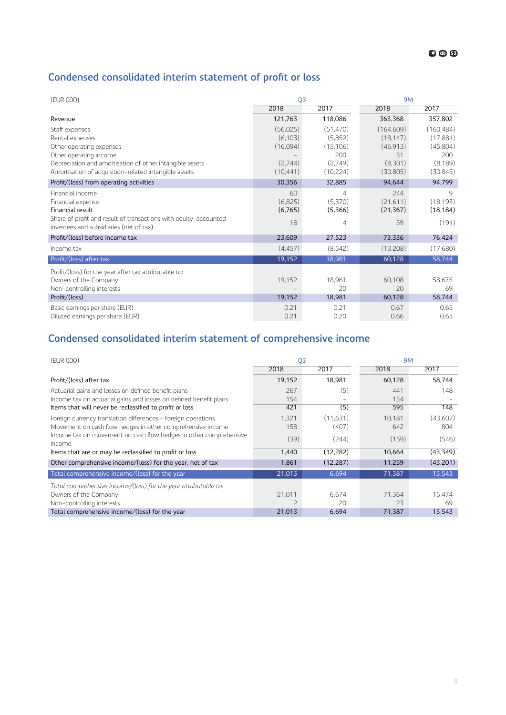# <span id="page-8-0"></span>Condensed consolidated interim statement of profit or loss

| (EUR 000)                                                                                                                                                                |                                             | Q <sub>3</sub>                                      |                                                       | <b>9M</b>                                              |  |
|--------------------------------------------------------------------------------------------------------------------------------------------------------------------------|---------------------------------------------|-----------------------------------------------------|-------------------------------------------------------|--------------------------------------------------------|--|
|                                                                                                                                                                          | 2018                                        | 2017                                                | 2018                                                  | 2017                                                   |  |
| Revenue                                                                                                                                                                  | 121,763                                     | 118,086                                             | 363,368                                               | 357,802                                                |  |
| Staff expenses<br>Rental expenses<br>Other operating expenses<br>Other operating income<br>Depreciation and amortisation of other intangible assets                      | (56,025)<br>(6, 103)<br>(16,094)<br>(2,744) | (51, 470)<br>(5,852)<br>(15, 106)<br>200<br>(2,749) | (164, 609)<br>(18, 147)<br>(46, 913)<br>51<br>(8,301) | (160, 484)<br>(17, 881)<br>(45,804)<br>200<br>(8, 189) |  |
| Amortisation of acquisition-related intangible assets                                                                                                                    | (10, 441)                                   | (10, 224)                                           | (30, 805)                                             | (30, 845)                                              |  |
| Profit/(loss) from operating activities                                                                                                                                  | 30,356                                      | 32,885                                              | 94,644                                                | 94,799                                                 |  |
| Financial income<br>Financial expense<br>Financial result<br>Share of profit and result of transactions with equity-accounted<br>investees and subsidiaries (net of tax) | 60<br>(6,825)<br>(6,765)<br>18              | 4<br>(5,370)<br>(5,366)<br>4                        | 244<br>(21,611)<br>(21, 367)<br>59                    | $\mathcal{Q}$<br>(18, 193)<br>(18, 184)<br>(191)       |  |
| Profit/(loss) before income tax                                                                                                                                          | 23,609                                      | 27,523                                              | 73,336                                                | 76,424                                                 |  |
| Income tax                                                                                                                                                               | (4, 457)                                    | (8, 542)                                            | (13,208)                                              | (17,680)                                               |  |
| Profit/(loss) after tax                                                                                                                                                  | 19,152                                      | 18,981                                              | 60,128                                                | 58,744                                                 |  |
| Profit/(loss) for the year after tax attributable to:<br>Owners of the Company<br>Non-controlling interests<br>Profit/(loss)                                             | 19,152<br>19,152                            | 18,961<br>20<br>18,981                              | 60,108<br>20<br>60,128                                | 58,675<br>69<br>58,744                                 |  |
| Basic earnings per share (EUR)<br>Diluted earnings per share (EUR)                                                                                                       | 0.21<br>0.21                                | 0.21<br>0.20                                        | 0.67<br>0.66                                          | 0.65<br>0.63                                           |  |

## **Condensed consolidated interim statement of comprehensive income**

| (EUR 000)<br>03                                                             |               |           | <b>9M</b> |           |  |
|-----------------------------------------------------------------------------|---------------|-----------|-----------|-----------|--|
|                                                                             | 2018          | 2017      | 2018      | 2017      |  |
| Profit/(loss) after tax                                                     | 19,152        | 18.981    | 60.128    | 58.744    |  |
| Actuarial gains and losses on defined benefit plans                         | 267           | (5)       | 441       | 148       |  |
| Income tax on actuarial gains and losses on defined benefit plans           | 154           |           | 154       |           |  |
| Items that will never be reclassified to profit or loss                     | 421           | (5)       | 595       | 148       |  |
| Foreign currency translation differences - foreign operations               | 1,321         | (11.631)  | 10.181    | (43,607)  |  |
| Movement on cash flow hedges in other comprehensive income                  | 158           | (407)     | 642       | 804       |  |
| Income tax on movement on cash flow hedges in other comprehensive<br>income | (39)          | (244)     | (159)     | (546)     |  |
| Items that are or may be reclassified to profit or loss                     | 1,440         | (12, 282) | 10,664    | (43, 349) |  |
| Other comprehensive income/(loss) for the year, net of tax                  | 1.861         | (12, 287) | 11,259    | (43,201)  |  |
| Total comprehensive income/(loss) for the year                              | 21,013        | 6,694     | 71,387    | 15,543    |  |
| Total comprehensive income/(loss) for the year attributable to:             |               |           |           |           |  |
| Owners of the Company                                                       | 21,011        | 6.674     | 71.364    | 15.474    |  |
| Non-controlling interests                                                   | $\mathcal{P}$ | 20        | 23        | 69        |  |
| Total comprehensive income/(loss) for the year                              | 21,013        | 6,694     | 71,387    | 15,543    |  |